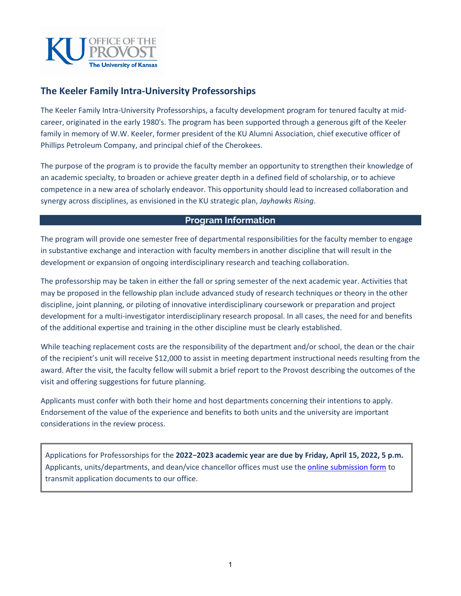

# **The Keeler Family Intra-University Professorships**

The Keeler Family Intra-University Professorships, a faculty development program for tenured faculty at midcareer, originated in the early 1980's. The program has been supported through a generous gift of the Keeler family in memory of W.W. Keeler, former president of the KU Alumni Association, chief executive officer of Phillips Petroleum Company, and principal chief of the Cherokees.

The purpose of the program is to provide the faculty member an opportunity to strengthen their knowledge of an academic specialty, to broaden or achieve greater depth in a defined field of scholarship, or to achieve competence in a new area of scholarly endeavor. This opportunity should lead to increased collaboration and synergy across disciplines, as envisioned in the KU strategic plan, *Jayhawks Rising*.

## **Program Information**

The program will provide one semester free of departmental responsibilities for the faculty member to engage in substantive exchange and interaction with faculty members in another discipline that will result in the development or expansion of ongoing interdisciplinary research and teaching collaboration.

The professorship may be taken in either the fall or spring semester of the next academic year. Activities that may be proposed in the fellowship plan include advanced study of research techniques or theory in the other discipline, joint planning, or piloting of innovative interdisciplinary coursework or preparation and project development for a multi-investigator interdisciplinary research proposal. In all cases, the need for and benefits of the additional expertise and training in the other discipline must be clearly established.

While teaching replacement costs are the responsibility of the department and/or school, the dean or the chair of the recipient's unit will receive \$12,000 to assist in meeting department instructional needs resulting from the award. After the visit, the faculty fellow will submit a brief report to the Provost describing the outcomes of the visit and offering suggestions for future planning.

Applicants must confer with both their home and host departments concerning their intentions to apply. Endorsement of the value of the experience and benefits to both units and the university are important considerations in the review process.

Applications for Professorships for the **2022−2023 academic year are due by Friday, April 15, 2022, 5 p.m.** Applicants, units/departments, and dean/vice chancellor offices must use th[e online submission form](https://kusurvey.ca1.qualtrics.com/jfe/form/SV_8qRMYv2Msjm1Bj0) to transmit application documents to our office.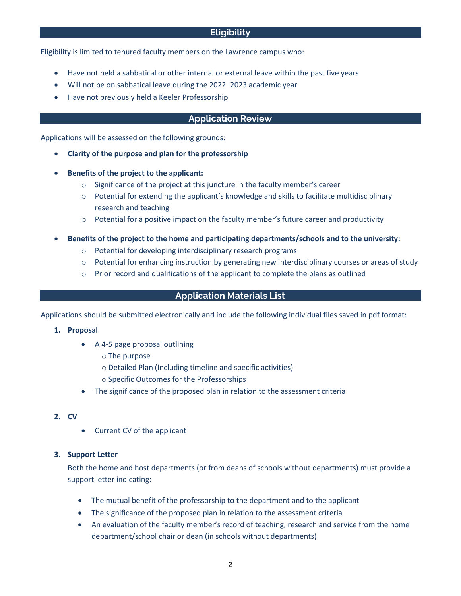## **Eligibility**

Eligibility is limited to tenured faculty members on the Lawrence campus who:

- Have not held a sabbatical or other internal or external leave within the past five years
- Will not be on sabbatical leave during the 2022−2023 academic year
- Have not previously held a Keeler Professorship

## **Application Review**

Applications will be assessed on the following grounds:

- **Clarity of the purpose and plan for the professorship**
- **Benefits of the project to the applicant:**
	- $\circ$  Significance of the project at this juncture in the faculty member's career
	- $\circ$  Potential for extending the applicant's knowledge and skills to facilitate multidisciplinary research and teaching
	- $\circ$  Potential for a positive impact on the faculty member's future career and productivity
- **Benefits of the project to the home and participating departments/schools and to the university:**
	- o Potential for developing interdisciplinary research programs
	- $\circ$  Potential for enhancing instruction by generating new interdisciplinary courses or areas of study
	- $\circ$  Prior record and qualifications of the applicant to complete the plans as outlined

## **Application Materials List**

Applications should be submitted electronically and include the following individual files saved in pdf format:

- **1. Proposal** 
	- A 4-5 page proposal outlining
		- o The purpose
		- o Detailed Plan (Including timeline and specific activities)
		- o Specific Outcomes for the Professorships
	- The significance of the proposed plan in relation to the assessment criteria

#### **2. CV**

• Current CV of the applicant

#### **3. Support Letter**

Both the home and host departments (or from deans of schools without departments) must provide a support letter indicating:

- The mutual benefit of the professorship to the department and to the applicant
- The significance of the proposed plan in relation to the assessment criteria
- An evaluation of the faculty member's record of teaching, research and service from the home department/school chair or dean (in schools without departments)